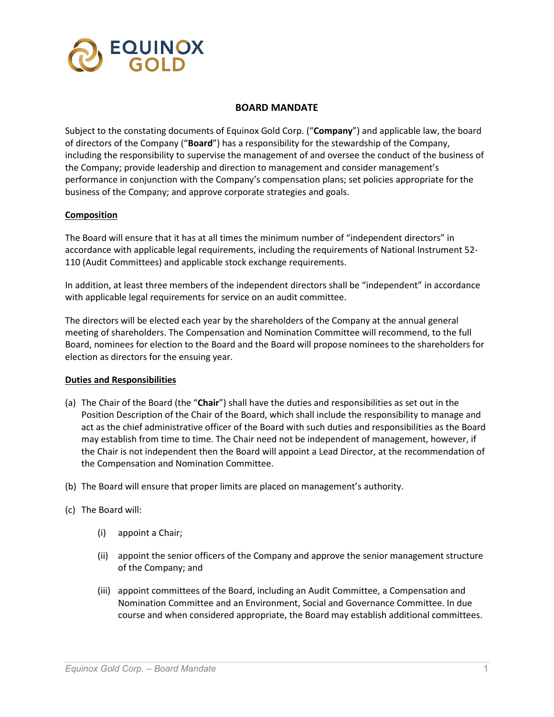

### **BOARD MANDATE**

Subject to the constating documents of Equinox Gold Corp. ("**Company**") and applicable law, the board of directors of the Company ("**Board**") has a responsibility for the stewardship of the Company, including the responsibility to supervise the management of and oversee the conduct of the business of the Company; provide leadership and direction to management and consider management's performance in conjunction with the Company's compensation plans; set policies appropriate for the business of the Company; and approve corporate strategies and goals.

# **Composition**

The Board will ensure that it has at all times the minimum number of "independent directors" in accordance with applicable legal requirements, including the requirements of National Instrument 52- 110 (Audit Committees) and applicable stock exchange requirements.

In addition, at least three members of the independent directors shall be "independent" in accordance with applicable legal requirements for service on an audit committee.

The directors will be elected each year by the shareholders of the Company at the annual general meeting of shareholders. The Compensation and Nomination Committee will recommend, to the full Board, nominees for election to the Board and the Board will propose nominees to the shareholders for election as directors for the ensuing year.

### **Duties and Responsibilities**

- (a) The Chair of the Board (the "**Chair**") shall have the duties and responsibilities as set out in the Position Description of the Chair of the Board, which shall include the responsibility to manage and act as the chief administrative officer of the Board with such duties and responsibilities as the Board may establish from time to time. The Chair need not be independent of management, however, if the Chair is not independent then the Board will appoint a Lead Director, at the recommendation of the Compensation and Nomination Committee.
- (b) The Board will ensure that proper limits are placed on management's authority.
- (c) The Board will:
	- (i) appoint a Chair;
	- (ii) appoint the senior officers of the Company and approve the senior management structure of the Company; and
	- (iii) appoint committees of the Board, including an Audit Committee, a Compensation and Nomination Committee and an Environment, Social and Governance Committee. In due course and when considered appropriate, the Board may establish additional committees.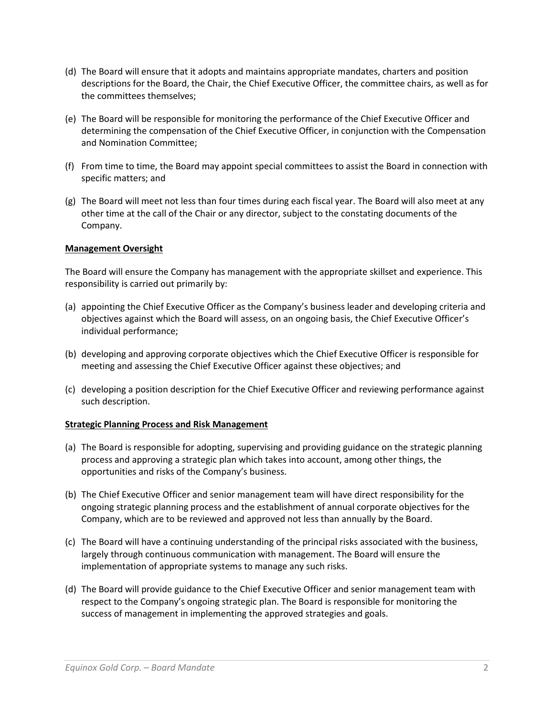- (d) The Board will ensure that it adopts and maintains appropriate mandates, charters and position descriptions for the Board, the Chair, the Chief Executive Officer, the committee chairs, as well as for the committees themselves;
- (e) The Board will be responsible for monitoring the performance of the Chief Executive Officer and determining the compensation of the Chief Executive Officer, in conjunction with the Compensation and Nomination Committee;
- (f) From time to time, the Board may appoint special committees to assist the Board in connection with specific matters; and
- (g) The Board will meet not less than four times during each fiscal year. The Board will also meet at any other time at the call of the Chair or any director, subject to the constating documents of the Company.

# **Management Oversight**

The Board will ensure the Company has management with the appropriate skillset and experience. This responsibility is carried out primarily by:

- (a) appointing the Chief Executive Officer as the Company's business leader and developing criteria and objectives against which the Board will assess, on an ongoing basis, the Chief Executive Officer's individual performance;
- (b) developing and approving corporate objectives which the Chief Executive Officer is responsible for meeting and assessing the Chief Executive Officer against these objectives; and
- (c) developing a position description for the Chief Executive Officer and reviewing performance against such description.

### **Strategic Planning Process and Risk Management**

- (a) The Board is responsible for adopting, supervising and providing guidance on the strategic planning process and approving a strategic plan which takes into account, among other things, the opportunities and risks of the Company's business.
- (b) The Chief Executive Officer and senior management team will have direct responsibility for the ongoing strategic planning process and the establishment of annual corporate objectives for the Company, which are to be reviewed and approved not less than annually by the Board.
- (c) The Board will have a continuing understanding of the principal risks associated with the business, largely through continuous communication with management. The Board will ensure the implementation of appropriate systems to manage any such risks.
- (d) The Board will provide guidance to the Chief Executive Officer and senior management team with respect to the Company's ongoing strategic plan. The Board is responsible for monitoring the success of management in implementing the approved strategies and goals.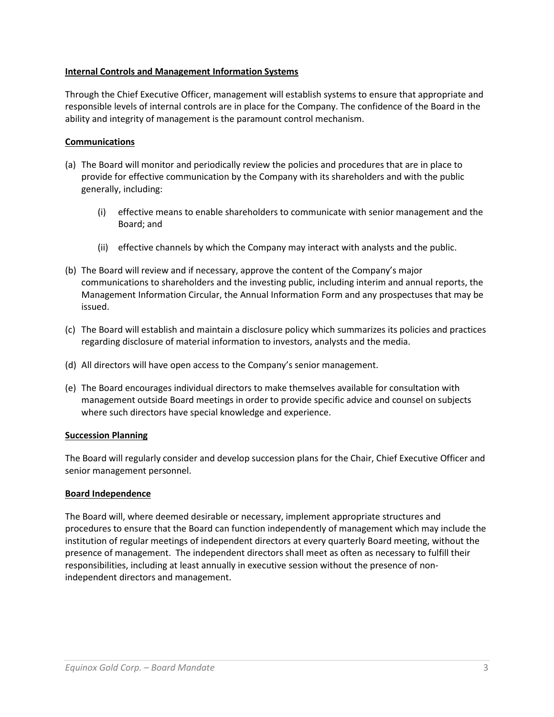# **Internal Controls and Management Information Systems**

Through the Chief Executive Officer, management will establish systems to ensure that appropriate and responsible levels of internal controls are in place for the Company. The confidence of the Board in the ability and integrity of management is the paramount control mechanism.

# **Communications**

- (a) The Board will monitor and periodically review the policies and procedures that are in place to provide for effective communication by the Company with its shareholders and with the public generally, including:
	- (i) effective means to enable shareholders to communicate with senior management and the Board; and
	- (ii) effective channels by which the Company may interact with analysts and the public.
- (b) The Board will review and if necessary, approve the content of the Company's major communications to shareholders and the investing public, including interim and annual reports, the Management Information Circular, the Annual Information Form and any prospectuses that may be issued.
- (c) The Board will establish and maintain a disclosure policy which summarizes its policies and practices regarding disclosure of material information to investors, analysts and the media.
- (d) All directors will have open access to the Company's senior management.
- (e) The Board encourages individual directors to make themselves available for consultation with management outside Board meetings in order to provide specific advice and counsel on subjects where such directors have special knowledge and experience.

### **Succession Planning**

The Board will regularly consider and develop succession plans for the Chair, Chief Executive Officer and senior management personnel.

### **Board Independence**

The Board will, where deemed desirable or necessary, implement appropriate structures and procedures to ensure that the Board can function independently of management which may include the institution of regular meetings of independent directors at every quarterly Board meeting, without the presence of management. The independent directors shall meet as often as necessary to fulfill their responsibilities, including at least annually in executive session without the presence of nonindependent directors and management.